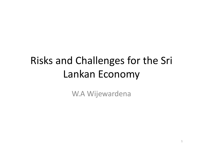# Risks and Challenges for the Sri Lankan Economy

W.A Wijewardena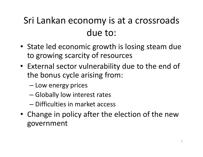### Sri Lankan economy is at <sup>a</sup> crossroads due to:

- State led economic growth is losing steam due to growing scarcity of resources
- External sector vulnerability due to the end of the bonus cycle arising from:
	- Low energy prices
	- Globally low interest rates
	- Difficulties in market access
- Change in policy after the election of the new government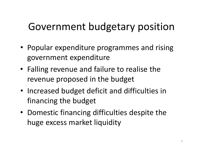# Government budgetary position

- Popular expenditure programmes and rising government expenditure
- Falling revenue and failure to realise the revenue proposed in the budget
- Increased budget deficit and difficulties in financing the budget
- Domestic financing difficulties despite the huge excess market liquidity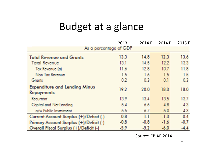#### Budget at <sup>a</sup> glance

|                                                           | 2013   | 2014 E | 2014 P | 2015 E |  |
|-----------------------------------------------------------|--------|--------|--------|--------|--|
| As a percentage of GDP                                    |        |        |        |        |  |
| <b>Total Revenue and Grants</b>                           | 13.3   | 14.8   | 12.3   | 13.6   |  |
| <b>Total Revenue</b>                                      | 13.1   | 14.5   | 12.2   | 13.3   |  |
| Tax Revenue (a)                                           | 11.6   | 12.8   | 10.7   | 11.8   |  |
| Non Tax Revenue                                           | 1.5    | 1.6    | 1.5    | 1.5    |  |
| <b>Grants</b>                                             | 0.2    | 0.3    | 0.1    | 0.3    |  |
| <b>Expenditure and Lending Minus</b><br><b>Repayments</b> | 19.2   | 20.0   | 18.3   | 18.0   |  |
| Recurrent                                                 | 13.9   | 13.4   | 13.5   | 13.7   |  |
| Capital and Net Lending                                   | 5.4    | 6.6    | 4.8    | 4.3    |  |
| o/w Public Investment                                     | 5.5    | 6.7    | 5.0    | 4.3    |  |
| Current Account Surplus (+)/Deficit (-)                   | $-0.8$ | 1.1    | $-1.3$ | $-0.4$ |  |
| Primary Account Surplus (+)/Deficit (-)                   | $-0.8$ | $-0.8$ | $-1.6$ | $-0.7$ |  |
| Overall Fiscal Surplus (+)/Deficit (-)                    | $-5.9$ | $-5.2$ | $-6.0$ | $-4.4$ |  |

Source: CB AR 2014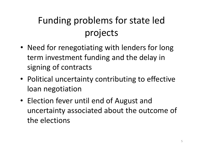# Funding problems for state led projects

- Need for renegotiating with lenders for long term investment funding and the delay in signing of contracts
- Political uncertainty contributing to effective loan negotiation
- Election fever until end of August and uncertainty associated about the outcome of the elections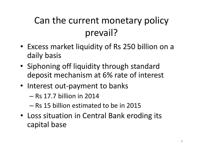## Can the current monetary policy prevail?

- Excess market liquidity of Rs 250 billion on <sup>a</sup> daily basis
- Siphoning off liquidity through standard deposit mechanism at 6% rate of interest
- Interest out-payment to banks
	- Rs 17.7 billion in 2014
	- Rs 15 billion estimated to be in 2015
- Loss situation in Central Bank eroding its capital base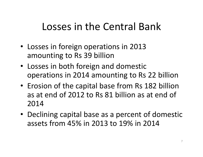## Losses in the Central Bank

- Losses in foreign operations in 2013 amounting to Rs 39 billion
- Losses in both foreign and domestic operations in 2014 amounting to Rs 22 billion
- Erosion of the capital base from Rs 182 billion as at end of 2012 to Rs 81 billion as at end of 2014
- Declining capital base as <sup>a</sup> percent of domestic assets from 45% in 2013 to 19% in 2014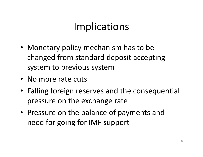# Implications

- Monetary policy mechanism has to be changed from standard deposit accepting system to previous system
- No more rate cuts
- Falling foreign reserves and the consequential pressure on the exchange rate
- Pressure on the balance of payments and need for going for IMF support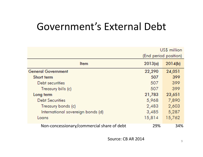### Government's External Debt

|                                            | US\$ million          |         |  |
|--------------------------------------------|-----------------------|---------|--|
|                                            | (End period position) |         |  |
| <b>Item</b>                                | 2013(a)               | 2014(b) |  |
| <b>General Government</b>                  | 22,290                | 24,051  |  |
| Short term                                 | 507                   | 399     |  |
| Debt securities                            | 507                   | 399     |  |
| Treasury bills (c)                         | 507                   | 399     |  |
| Long term                                  | 21,783                | 23,651  |  |
| <b>Debt Securities</b>                     | 5,968                 | 7,890   |  |
| Treasury bonds (c)                         | 2,483                 | 2,603   |  |
| International sovereign bonds (d)          | 3,485                 | 5,287   |  |
| Loans                                      | 15,814                | 15,762  |  |
| Non-concessionary/commercial share of debt | 29%                   | 34%     |  |

Source: CB AR 2014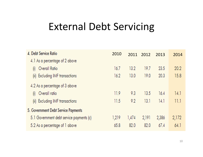### External Debt Servicing

| 4. Debt Service Ratio                    | 2010  | 2011  | 2012  | 2013  | 2014  |
|------------------------------------------|-------|-------|-------|-------|-------|
| 4.1 As a percentage of 2 above           |       |       |       |       |       |
| Overall Ratio<br>$\left( 0 \right)$      | 16.7  | 13.2  | 19.7  | 23.5  | 20.2  |
| (ii) Excluding IMF transactions          | 16.2  | 13.0  | 19.0  | 20.3  | 15.8  |
| 4.2 As a percentage of 3 above           |       |       |       |       |       |
| Overall ratio<br>$\left( 0 \right)$      | 11.9  | 9.3   | 13.5  | 16.4  | 14.1  |
| (ii) Excluding IMF transactions          | 11.5  | 9.2   | 13.1  | 14.1  | 11.1  |
| 5. Government Debt Service Payments      |       |       |       |       |       |
| 5.1 Government debt service payments (c) | 1,219 | 1,474 | 2,191 | 2,386 | 2,172 |
| 5.2 As a percentage of 1 above           | 65.8  | 82.0  | 82.0  | 67.4  | 64.1  |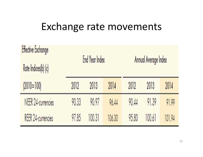#### Exchange rate movements

| <b>Effective Exchange</b> | End Year Index |        |        |                      |        |        |  |
|---------------------------|----------------|--------|--------|----------------------|--------|--------|--|
| Rate Indices(b) (c)       |                |        |        | Annual Average Index |        |        |  |
| $(2010=100)$              | 2012           | 2013   | 2014   | 2012                 | 2013   | 2014   |  |
| NEER 24-currencies        | 90.33          | 90.97  | 96.44  | 90.44                | 91.39  | 91.99  |  |
| <b>REER 24-currencies</b> | 97.85          | 100.31 | 106.30 | 95.80                | 100.61 | 101.94 |  |